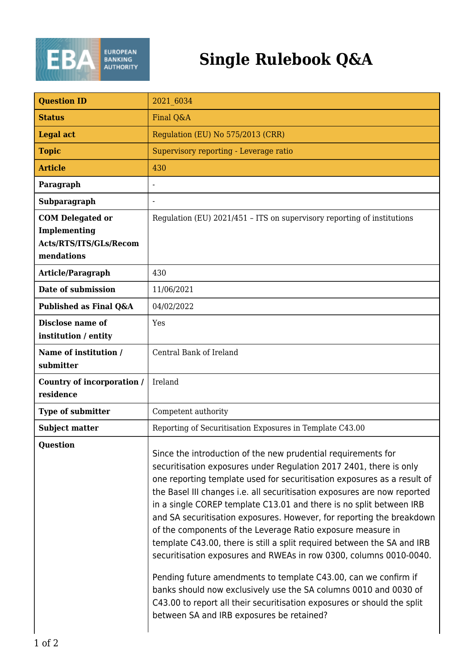

## **Single Rulebook Q&A**

| <b>Question ID</b>                                                              | 2021 6034                                                                                                                                                                                                                                                                                                                                                                                                                                                                                                                                                                                                                                                                                                                                                                                                                                                                                                                 |
|---------------------------------------------------------------------------------|---------------------------------------------------------------------------------------------------------------------------------------------------------------------------------------------------------------------------------------------------------------------------------------------------------------------------------------------------------------------------------------------------------------------------------------------------------------------------------------------------------------------------------------------------------------------------------------------------------------------------------------------------------------------------------------------------------------------------------------------------------------------------------------------------------------------------------------------------------------------------------------------------------------------------|
| <b>Status</b>                                                                   | Final Q&A                                                                                                                                                                                                                                                                                                                                                                                                                                                                                                                                                                                                                                                                                                                                                                                                                                                                                                                 |
| <b>Legal act</b>                                                                | Regulation (EU) No 575/2013 (CRR)                                                                                                                                                                                                                                                                                                                                                                                                                                                                                                                                                                                                                                                                                                                                                                                                                                                                                         |
| <b>Topic</b>                                                                    | Supervisory reporting - Leverage ratio                                                                                                                                                                                                                                                                                                                                                                                                                                                                                                                                                                                                                                                                                                                                                                                                                                                                                    |
| <b>Article</b>                                                                  | 430                                                                                                                                                                                                                                                                                                                                                                                                                                                                                                                                                                                                                                                                                                                                                                                                                                                                                                                       |
| Paragraph                                                                       | $\overline{\phantom{a}}$                                                                                                                                                                                                                                                                                                                                                                                                                                                                                                                                                                                                                                                                                                                                                                                                                                                                                                  |
| Subparagraph                                                                    | $\overline{\phantom{a}}$                                                                                                                                                                                                                                                                                                                                                                                                                                                                                                                                                                                                                                                                                                                                                                                                                                                                                                  |
| <b>COM</b> Delegated or<br>Implementing<br>Acts/RTS/ITS/GLs/Recom<br>mendations | Regulation (EU) 2021/451 - ITS on supervisory reporting of institutions                                                                                                                                                                                                                                                                                                                                                                                                                                                                                                                                                                                                                                                                                                                                                                                                                                                   |
| <b>Article/Paragraph</b>                                                        | 430                                                                                                                                                                                                                                                                                                                                                                                                                                                                                                                                                                                                                                                                                                                                                                                                                                                                                                                       |
| Date of submission                                                              | 11/06/2021                                                                                                                                                                                                                                                                                                                                                                                                                                                                                                                                                                                                                                                                                                                                                                                                                                                                                                                |
| Published as Final Q&A                                                          | 04/02/2022                                                                                                                                                                                                                                                                                                                                                                                                                                                                                                                                                                                                                                                                                                                                                                                                                                                                                                                |
| Disclose name of<br>institution / entity                                        | Yes                                                                                                                                                                                                                                                                                                                                                                                                                                                                                                                                                                                                                                                                                                                                                                                                                                                                                                                       |
| Name of institution /<br>submitter                                              | Central Bank of Ireland                                                                                                                                                                                                                                                                                                                                                                                                                                                                                                                                                                                                                                                                                                                                                                                                                                                                                                   |
| Country of incorporation /<br>residence                                         | Ireland                                                                                                                                                                                                                                                                                                                                                                                                                                                                                                                                                                                                                                                                                                                                                                                                                                                                                                                   |
| Type of submitter                                                               | Competent authority                                                                                                                                                                                                                                                                                                                                                                                                                                                                                                                                                                                                                                                                                                                                                                                                                                                                                                       |
| <b>Subject matter</b>                                                           | Reporting of Securitisation Exposures in Template C43.00                                                                                                                                                                                                                                                                                                                                                                                                                                                                                                                                                                                                                                                                                                                                                                                                                                                                  |
| <b>Question</b>                                                                 | Since the introduction of the new prudential requirements for<br>securitisation exposures under Regulation 2017 2401, there is only<br>one reporting template used for securitisation exposures as a result of<br>the Basel III changes i.e. all securitisation exposures are now reported<br>in a single COREP template C13.01 and there is no split between IRB<br>and SA securitisation exposures. However, for reporting the breakdown<br>of the components of the Leverage Ratio exposure measure in<br>template C43.00, there is still a split required between the SA and IRB<br>securitisation exposures and RWEAs in row 0300, columns 0010-0040.<br>Pending future amendments to template C43.00, can we confirm if<br>banks should now exclusively use the SA columns 0010 and 0030 of<br>C43.00 to report all their securitisation exposures or should the split<br>between SA and IRB exposures be retained? |